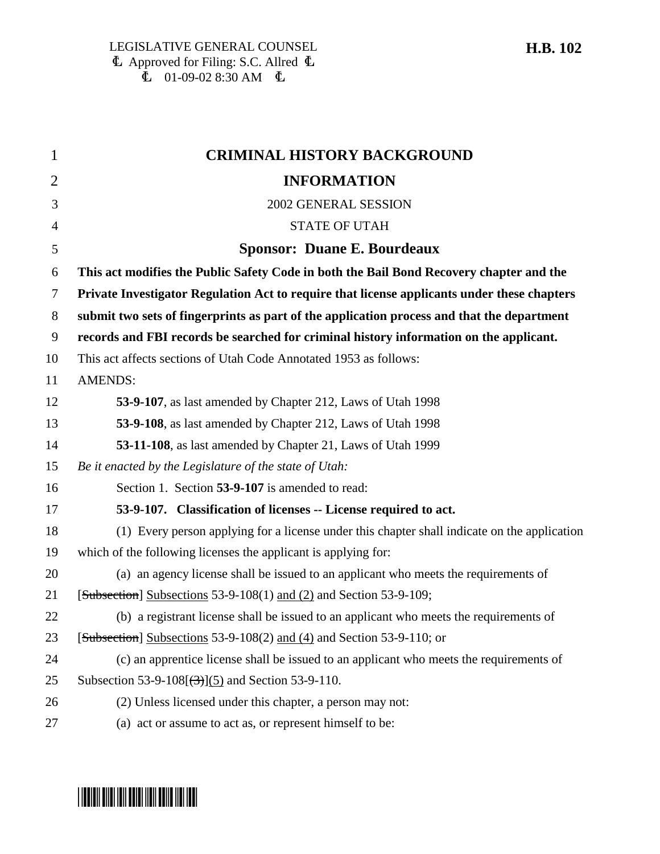| $\mathbf{1}$   | <b>CRIMINAL HISTORY BACKGROUND</b>                                                           |
|----------------|----------------------------------------------------------------------------------------------|
| $\overline{2}$ | <b>INFORMATION</b>                                                                           |
| 3              | 2002 GENERAL SESSION                                                                         |
| 4              | <b>STATE OF UTAH</b>                                                                         |
| 5              | <b>Sponsor: Duane E. Bourdeaux</b>                                                           |
| 6              | This act modifies the Public Safety Code in both the Bail Bond Recovery chapter and the      |
| 7              | Private Investigator Regulation Act to require that license applicants under these chapters  |
| 8              | submit two sets of fingerprints as part of the application process and that the department   |
| 9              | records and FBI records be searched for criminal history information on the applicant.       |
| 10             | This act affects sections of Utah Code Annotated 1953 as follows:                            |
| 11             | <b>AMENDS:</b>                                                                               |
| 12             | 53-9-107, as last amended by Chapter 212, Laws of Utah 1998                                  |
| 13             | 53-9-108, as last amended by Chapter 212, Laws of Utah 1998                                  |
| 14             | 53-11-108, as last amended by Chapter 21, Laws of Utah 1999                                  |
| 15             | Be it enacted by the Legislature of the state of Utah:                                       |
| 16             | Section 1. Section 53-9-107 is amended to read:                                              |
| 17             | 53-9-107. Classification of licenses -- License required to act.                             |
| 18             | (1) Every person applying for a license under this chapter shall indicate on the application |
| 19             | which of the following licenses the applicant is applying for:                               |
| 20             | (a) an agency license shall be issued to an applicant who meets the requirements of          |
| 21             | [Subsection] Subsections 53-9-108(1) and (2) and Section 53-9-109;                           |
| 22             | (b) a registrant license shall be issued to an applicant who meets the requirements of       |
| 23             | [Subsection] Subsections 53-9-108(2) and (4) and Section 53-9-110; or                        |
| 24             | (c) an apprentice license shall be issued to an applicant who meets the requirements of      |
| 25             | Subsection 53-9-108 $(\frac{3}{3})$ (5) and Section 53-9-110.                                |
| 26             | (2) Unless licensed under this chapter, a person may not:                                    |
| 27             | (a) act or assume to act as, or represent himself to be:                                     |

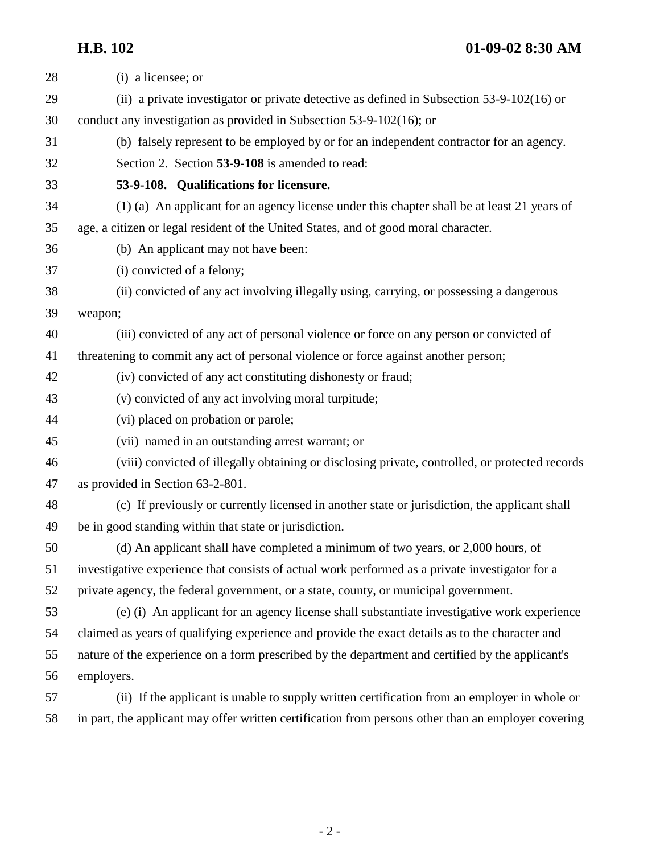**H.B. 102 01-09-02 8:30 AM**

| 28 | (i) a licensee; or                                                                                  |
|----|-----------------------------------------------------------------------------------------------------|
| 29 | (ii) a private investigator or private detective as defined in Subsection $53-9-102(16)$ or         |
| 30 | conduct any investigation as provided in Subsection 53-9-102(16); or                                |
| 31 | (b) falsely represent to be employed by or for an independent contractor for an agency.             |
| 32 | Section 2. Section 53-9-108 is amended to read:                                                     |
| 33 | 53-9-108. Qualifications for licensure.                                                             |
| 34 | (1) (a) An applicant for an agency license under this chapter shall be at least 21 years of         |
| 35 | age, a citizen or legal resident of the United States, and of good moral character.                 |
| 36 | (b) An applicant may not have been:                                                                 |
| 37 | (i) convicted of a felony;                                                                          |
| 38 | (ii) convicted of any act involving illegally using, carrying, or possessing a dangerous            |
| 39 | weapon;                                                                                             |
| 40 | (iii) convicted of any act of personal violence or force on any person or convicted of              |
| 41 | threatening to commit any act of personal violence or force against another person;                 |
| 42 | (iv) convicted of any act constituting dishonesty or fraud;                                         |
| 43 | (v) convicted of any act involving moral turpitude;                                                 |
| 44 | (vi) placed on probation or parole;                                                                 |
| 45 | (vii) named in an outstanding arrest warrant; or                                                    |
| 46 | (viii) convicted of illegally obtaining or disclosing private, controlled, or protected records     |
| 47 | as provided in Section 63-2-801.                                                                    |
| 48 | (c) If previously or currently licensed in another state or jurisdiction, the applicant shall       |
| 49 | be in good standing within that state or jurisdiction.                                              |
| 50 | (d) An applicant shall have completed a minimum of two years, or 2,000 hours, of                    |
| 51 | investigative experience that consists of actual work performed as a private investigator for a     |
| 52 | private agency, the federal government, or a state, county, or municipal government.                |
| 53 | (e) (i) An applicant for an agency license shall substantiate investigative work experience         |
| 54 | claimed as years of qualifying experience and provide the exact details as to the character and     |
| 55 | nature of the experience on a form prescribed by the department and certified by the applicant's    |
| 56 | employers.                                                                                          |
| 57 | (ii) If the applicant is unable to supply written certification from an employer in whole or        |
| 58 | in part, the applicant may offer written certification from persons other than an employer covering |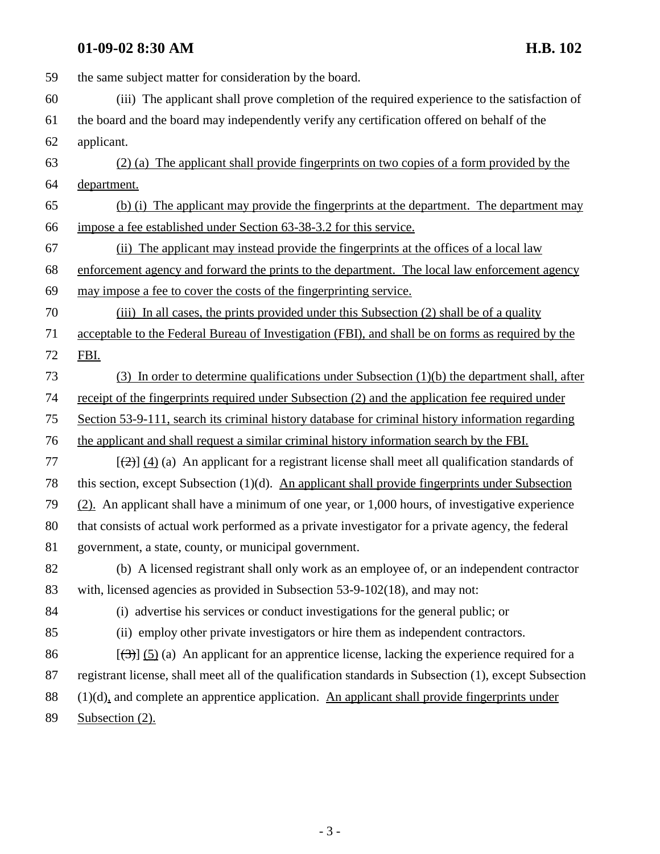### **01-09-02 8:30 AM H.B. 102**

59 the same subject matter for consideration by the board. 60 (iii) The applicant shall prove completion of the required experience to the satisfaction of 61 the board and the board may independently verify any certification offered on behalf of the 62 applicant. 63 (2) (a) The applicant shall provide fingerprints on two copies of a form provided by the 64 department. 65 (b) (i) The applicant may provide the fingerprints at the department. The department may 66 impose a fee established under Section 63-38-3.2 for this service. 67 (ii) The applicant may instead provide the fingerprints at the offices of a local law 68 enforcement agency and forward the prints to the department. The local law enforcement agency 69 may impose a fee to cover the costs of the fingerprinting service. 70 (iii) In all cases, the prints provided under this Subsection (2) shall be of a quality 71 acceptable to the Federal Bureau of Investigation (FBI), and shall be on forms as required by the 72 FBI. 73 (3) In order to determine qualifications under Subsection (1)(b) the department shall, after 74 receipt of the fingerprints required under Subsection (2) and the application fee required under 75 Section 53-9-111, search its criminal history database for criminal history information regarding 76 the applicant and shall request a similar criminal history information search by the FBI. 77  $\left[\frac{1}{2}\right] \left(4\right)$  (a) An applicant for a registrant license shall meet all qualification standards of 78 this section, except Subsection (1)(d). An applicant shall provide fingerprints under Subsection 79 (2). An applicant shall have a minimum of one year, or 1,000 hours, of investigative experience 80 that consists of actual work performed as a private investigator for a private agency, the federal 81 government, a state, county, or municipal government. 82 (b) A licensed registrant shall only work as an employee of, or an independent contractor 83 with, licensed agencies as provided in Subsection 53-9-102(18), and may not: 84 (i) advertise his services or conduct investigations for the general public; or 85 (ii) employ other private investigators or hire them as independent contractors. 86  $\left[\left(\frac{3}{3}\right)\right]$  (5) (a) An applicant for an apprentice license, lacking the experience required for a 87 registrant license, shall meet all of the qualification standards in Subsection (1), except Subsection 88 (1)(d), and complete an apprentice application. An applicant shall provide fingerprints under 89 Subsection (2).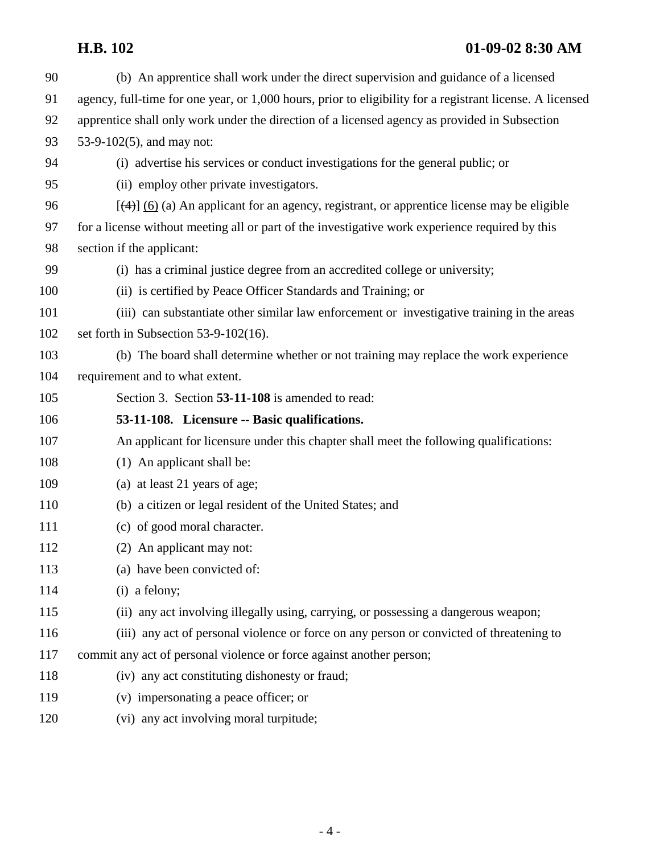# **H.B. 102 01-09-02 8:30 AM**

| 90  | (b) An apprentice shall work under the direct supervision and guidance of a licensed                      |
|-----|-----------------------------------------------------------------------------------------------------------|
| 91  | agency, full-time for one year, or 1,000 hours, prior to eligibility for a registrant license. A licensed |
| 92  | apprentice shall only work under the direction of a licensed agency as provided in Subsection             |
| 93  | 53-9-102(5), and may not:                                                                                 |
| 94  | (i) advertise his services or conduct investigations for the general public; or                           |
| 95  | (ii) employ other private investigators.                                                                  |
| 96  | $[\frac{4}{3}]$ (6) (a) An applicant for an agency, registrant, or apprentice license may be eligible     |
| 97  | for a license without meeting all or part of the investigative work experience required by this           |
| 98  | section if the applicant:                                                                                 |
| 99  | (i) has a criminal justice degree from an accredited college or university;                               |
| 100 | (ii) is certified by Peace Officer Standards and Training; or                                             |
| 101 | (iii) can substantiate other similar law enforcement or investigative training in the areas               |
| 102 | set forth in Subsection $53-9-102(16)$ .                                                                  |
| 103 | (b) The board shall determine whether or not training may replace the work experience                     |
| 104 | requirement and to what extent.                                                                           |
| 105 | Section 3. Section 53-11-108 is amended to read:                                                          |
| 106 | 53-11-108. Licensure -- Basic qualifications.                                                             |
| 107 | An applicant for licensure under this chapter shall meet the following qualifications:                    |
| 108 | (1) An applicant shall be:                                                                                |
| 109 | (a) at least 21 years of age;                                                                             |
| 110 | (b) a citizen or legal resident of the United States; and                                                 |
| 111 | (c) of good moral character.                                                                              |
| 112 | (2) An applicant may not:                                                                                 |
| 113 | (a) have been convicted of:                                                                               |
| 114 | (i) a felony;                                                                                             |
| 115 | (ii) any act involving illegally using, carrying, or possessing a dangerous weapon;                       |
| 116 | (iii) any act of personal violence or force on any person or convicted of threatening to                  |
| 117 | commit any act of personal violence or force against another person;                                      |
| 118 | (iv) any act constituting dishonesty or fraud;                                                            |
| 119 | (v) impersonating a peace officer; or                                                                     |
| 120 | (vi) any act involving moral turpitude;                                                                   |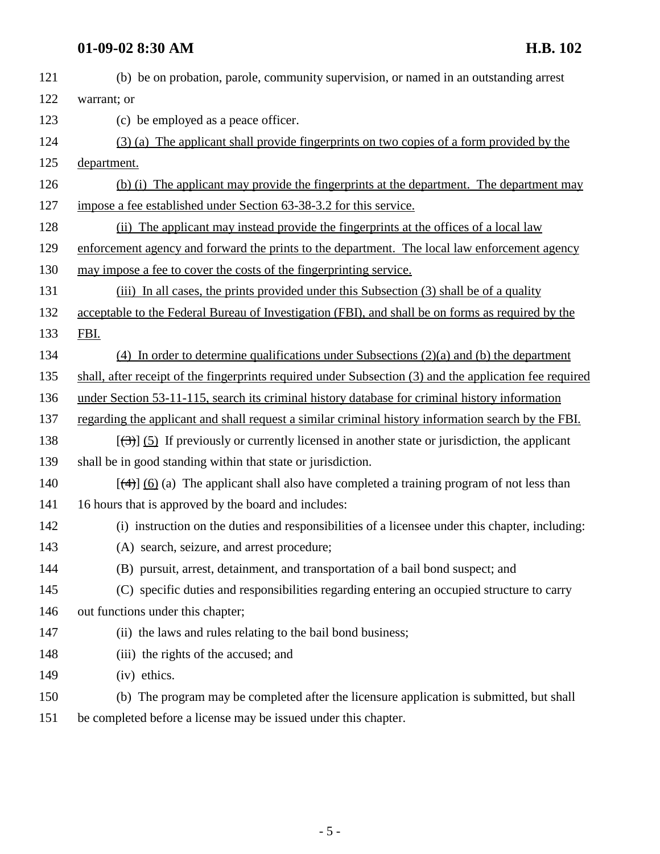### **01-09-02 8:30 AM H.B. 102**

| 121 | (b) be on probation, parole, community supervision, or named in an outstanding arrest                        |
|-----|--------------------------------------------------------------------------------------------------------------|
| 122 | warrant; or                                                                                                  |
| 123 | (c) be employed as a peace officer.                                                                          |
| 124 | (3) (a) The applicant shall provide fingerprints on two copies of a form provided by the                     |
| 125 | department.                                                                                                  |
| 126 | (b) (i) The applicant may provide the fingerprints at the department. The department may                     |
| 127 | impose a fee established under Section 63-38-3.2 for this service.                                           |
| 128 | (ii) The applicant may instead provide the fingerprints at the offices of a local law                        |
| 129 | enforcement agency and forward the prints to the department. The local law enforcement agency                |
| 130 | may impose a fee to cover the costs of the fingerprinting service.                                           |
| 131 | (iii) In all cases, the prints provided under this Subsection (3) shall be of a quality                      |
| 132 | acceptable to the Federal Bureau of Investigation (FBI), and shall be on forms as required by the            |
| 133 | FBI.                                                                                                         |
| 134 | $(4)$ In order to determine qualifications under Subsections $(2)(a)$ and (b) the department                 |
| 135 | shall, after receipt of the fingerprints required under Subsection (3) and the application fee required      |
| 136 | under Section 53-11-115, search its criminal history database for criminal history information               |
| 137 | regarding the applicant and shall request a similar criminal history information search by the FBI.          |
| 138 | $[\langle 3\rangle]$ (5) If previously or currently licensed in another state or jurisdiction, the applicant |
| 139 | shall be in good standing within that state or jurisdiction.                                                 |
| 140 | $[\frac{4}{3}]$ (6) (a) The applicant shall also have completed a training program of not less than          |
| 141 | 16 hours that is approved by the board and includes:                                                         |
| 142 | (i) instruction on the duties and responsibilities of a licensee under this chapter, including:              |
| 143 | (A) search, seizure, and arrest procedure;                                                                   |
| 144 | (B) pursuit, arrest, detainment, and transportation of a bail bond suspect; and                              |
| 145 | (C) specific duties and responsibilities regarding entering an occupied structure to carry                   |
| 146 | out functions under this chapter;                                                                            |
| 147 | (ii) the laws and rules relating to the bail bond business;                                                  |
| 148 | (iii) the rights of the accused; and                                                                         |
| 149 | (iv) ethics.                                                                                                 |
| 150 | (b) The program may be completed after the licensure application is submitted, but shall                     |
| 151 | be completed before a license may be issued under this chapter.                                              |